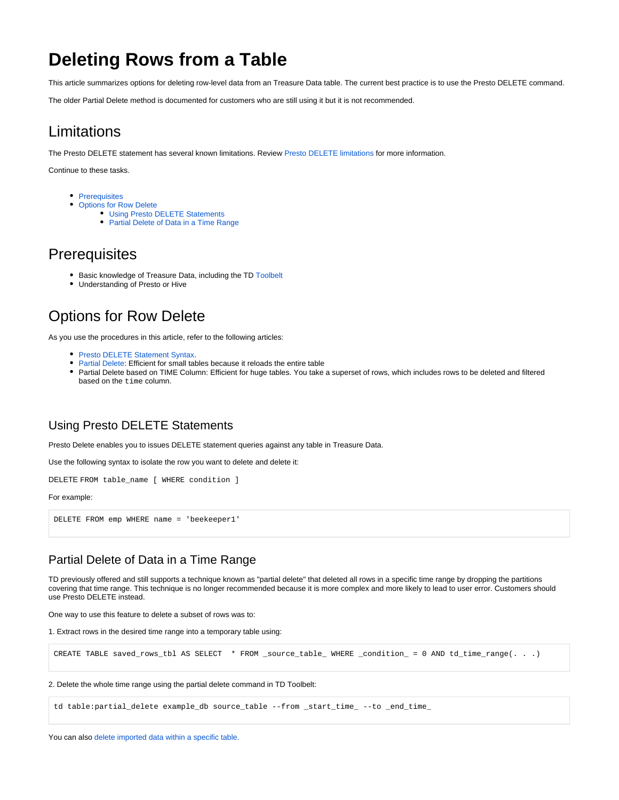# **Deleting Rows from a Table**

This article summarizes options for deleting row-level data from an Treasure Data table. The current best practice is to use the Presto DELETE command.

The older Partial Delete method is documented for customers who are still using it but it is not recommended.

## Limitations

The Presto DELETE statement has several known limitations. Review [Presto DELETE limitations](https://docs.treasuredata.com/display/PD/Presto+Known+Limitations#PrestoKnownLimitations-DELETEStatement) for more information.

Continue to these tasks.

- [Prerequisites](#page-0-0)
- [Options for Row Delete](#page-0-1)
	- [Using Presto DELETE Statements](#page-0-2)
	- [Partial Delete of Data in a Time Range](#page-0-3)

## <span id="page-0-0"></span>**Prerequisites**

- **Basic knowledge of Treasure Data, including the TD [Toolbelt](https://toolbelt.treasuredata.com/)**
- Understanding of Presto or Hive

## <span id="page-0-1"></span>Options for Row Delete

As you use the procedures in this article, refer to the following articles:

- **[Presto DELETE Statement Syntax](http://docs.treasuredata.com/display/PD/Presto+DELETE+Statement+Syntax).**
- [Partial Delete](http://docs.treasuredata.com/display/PD/Deleting+Rows+from+a+Table): Efficient for small tables because it reloads the entire table
- Partial Delete based on TIME Column: Efficient for huge tables. You take a superset of rows, which includes rows to be deleted and filtered based on the time column.

### <span id="page-0-2"></span>Using Presto DELETE Statements

Presto Delete enables you to issues DELETE statement queries against any table in Treasure Data.

Use the following syntax to isolate the row you want to delete and delete it:

DELETE FROM table\_name [ WHERE condition ]

#### For example:

DELETE FROM emp WHERE name = 'beekeeper1'

### <span id="page-0-3"></span>Partial Delete of Data in a Time Range

TD previously offered and still supports a technique known as "partial delete" that deleted all rows in a specific time range by dropping the partitions covering that time range. This technique is no longer recommended because it is more complex and more likely to lead to user error. Customers should use Presto DELETE instead.

One way to use this feature to delete a subset of rows was to:

1. Extract rows in the desired time range into a temporary table using:

CREATE TABLE saved\_rows\_tbl AS SELECT \* FROM \_source\_table\_ WHERE \_condition\_ = 0 AND td\_time\_range(. . .)

#### 2. Delete the whole time range using the partial delete command in TD Toolbelt:

td table:partial\_delete example\_db source\_table --from \_start\_time\_ --to \_end\_time\_